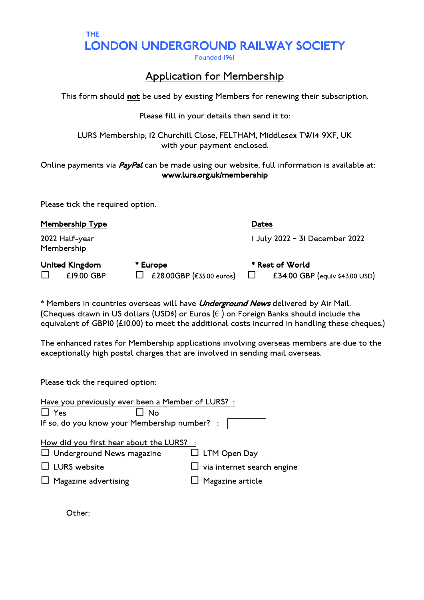LONDON UNDERGROUND RAILWAY SOCIETY

# Application for Membership

This form should not be used by existing Members for renewing their subscription.

### Please fill in your details then send it to:

LURS Membership; 12 Churchill Close, FELTHAM, Middlesex TW14 9XF, UK with your payment enclosed.

Online payments via *PayPal* can be made using our website, full information is available at: www.lurs.org.uk/membership

Please tick the required option.

THE

| <b>Membership Type</b>       |                                                 | <b>Dates</b>                                                |
|------------------------------|-------------------------------------------------|-------------------------------------------------------------|
| 2022 Half-year<br>Membership |                                                 | 1 July 2022 - 31 December 2022                              |
| United Kingdom<br>£19.00 GBP | * Europe<br>£28.00GBP ( $\epsilon$ 35.00 euros) | * Rest of World<br>£34.00 GBP (equiv \$43.00 USD)<br>$\Box$ |

\* Members in countries overseas will have Underground News delivered by Air Mail. (Cheques drawn in US dollars (USD\$) or Euros (€ ) on Foreign Banks should include the equivalent of GBP10 (£10.00) to meet the additional costs incurred in handling these cheques.)

The enhanced rates for Membership applications involving overseas members are due to the exceptionally high postal charges that are involved in sending mail overseas.

Please tick the required option:

| Have you previously ever been a Member of LURS? :                                                                           |     |                                                                              |
|-----------------------------------------------------------------------------------------------------------------------------|-----|------------------------------------------------------------------------------|
| $\Box$ Yes                                                                                                                  | No. |                                                                              |
| If so, do you know your Membership number? :                                                                                |     |                                                                              |
| How did you first hear about the LURS? :<br>$\Box$ Underground News magazine<br>LURS website<br>$\Box$ Magazine advertising |     | $\Box$ LTM Open Day<br>$\Box$ via internet search engine<br>Magazine article |

Other: